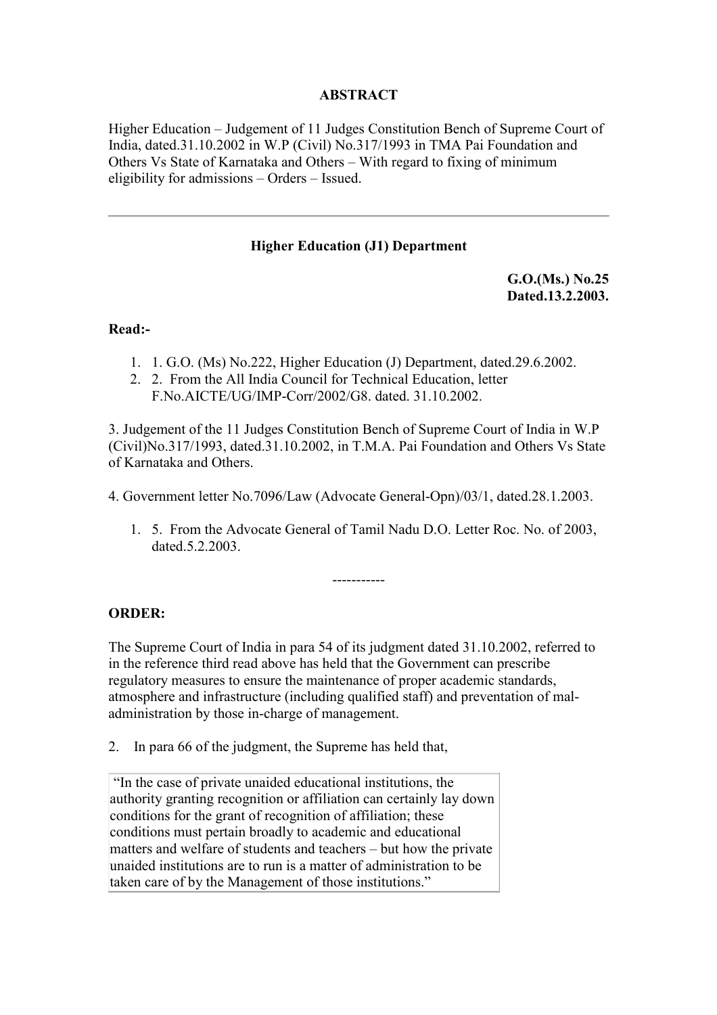# **ABSTRACT**

Higher Education – Judgement of 11 Judges Constitution Bench of Supreme Court of India, dated.31.10.2002 in W.P (Civil) No.317/1993 in TMA Pai Foundation and Others Vs State of Karnataka and Others – With regard to fixing of minimum eligibility for admissions – Orders – Issued.

#### **Higher Education (J1) Department**

**G.O.(Ms.) No.25 Dated.13.2.2003.**

#### **Read:-**

- 1. 1. G.O. (Ms) No.222, Higher Education (J) Department, dated.29.6.2002.
- 2. 2. From the All India Council for Technical Education, letter F.No.AICTE/UG/IMP-Corr/2002/G8. dated. 31.10.2002.

3. Judgement of the 11 Judges Constitution Bench of Supreme Court of India in W.P (Civil)No.317/1993, dated.31.10.2002, in T.M.A. Pai Foundation and Others Vs State of Karnataka and Others.

4. Government letter No.7096/Law (Advocate General-Opn)/03/1, dated.28.1.2003.

1. 5. From the Advocate General of Tamil Nadu D.O. Letter Roc. No. of 2003, dated.5.2.2003.

-----------

# **ORDER:**

The Supreme Court of India in para 54 of its judgment dated 31.10.2002, referred to in the reference third read above has held that the Government can prescribe regulatory measures to ensure the maintenance of proper academic standards, atmosphere and infrastructure (including qualified staff) and preventation of maladministration by those in-charge of management.

2. In para 66 of the judgment, the Supreme has held that,

 "In the case of private unaided educational institutions, the authority granting recognition or affiliation can certainly lay down conditions for the grant of recognition of affiliation; these conditions must pertain broadly to academic and educational matters and welfare of students and teachers – but how the private unaided institutions are to run is a matter of administration to be taken care of by the Management of those institutions."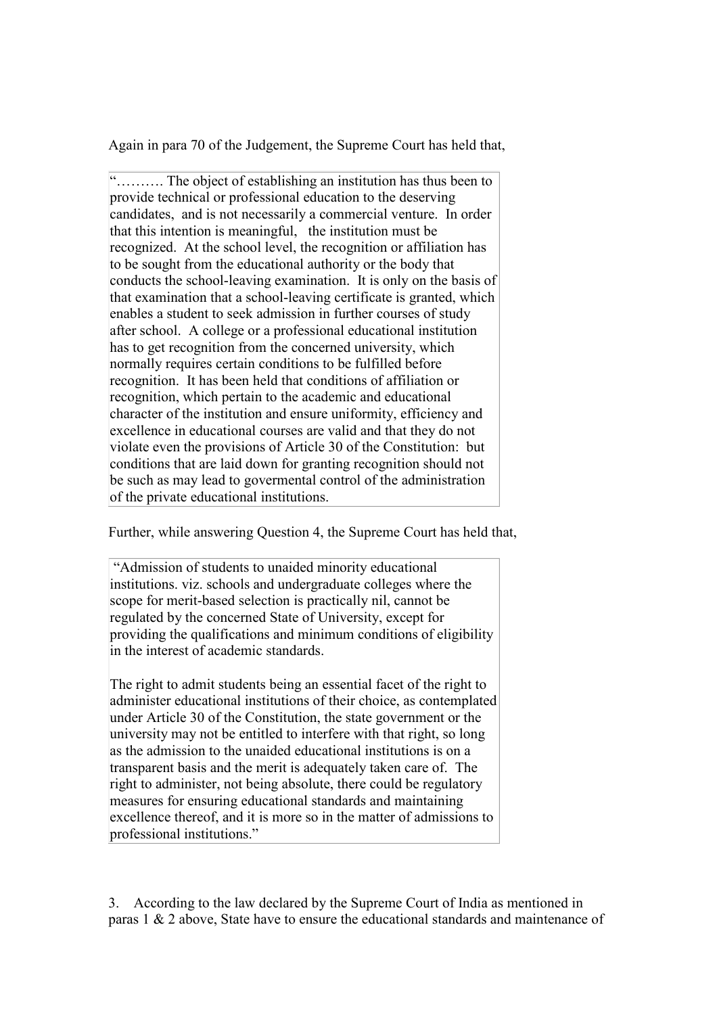Again in para 70 of the Judgement, the Supreme Court has held that,

"………. The object of establishing an institution has thus been to provide technical or professional education to the deserving candidates, and is not necessarily a commercial venture. In order that this intention is meaningful, the institution must be recognized. At the school level, the recognition or affiliation has to be sought from the educational authority or the body that conducts the school-leaving examination. It is only on the basis of that examination that a school-leaving certificate is granted, which enables a student to seek admission in further courses of study after school. A college or a professional educational institution has to get recognition from the concerned university, which normally requires certain conditions to be fulfilled before recognition. It has been held that conditions of affiliation or recognition, which pertain to the academic and educational character of the institution and ensure uniformity, efficiency and excellence in educational courses are valid and that they do not violate even the provisions of Article 30 of the Constitution: but conditions that are laid down for granting recognition should not be such as may lead to govermental control of the administration of the private educational institutions.

Further, while answering Question 4, the Supreme Court has held that,

 "Admission of students to unaided minority educational institutions. viz. schools and undergraduate colleges where the scope for merit-based selection is practically nil, cannot be regulated by the concerned State of University, except for providing the qualifications and minimum conditions of eligibility in the interest of academic standards.

The right to admit students being an essential facet of the right to administer educational institutions of their choice, as contemplated under Article 30 of the Constitution, the state government or the university may not be entitled to interfere with that right, so long as the admission to the unaided educational institutions is on a transparent basis and the merit is adequately taken care of. The right to administer, not being absolute, there could be regulatory measures for ensuring educational standards and maintaining excellence thereof, and it is more so in the matter of admissions to professional institutions."

3. According to the law declared by the Supreme Court of India as mentioned in paras  $1 \& 2$  above. State have to ensure the educational standards and maintenance of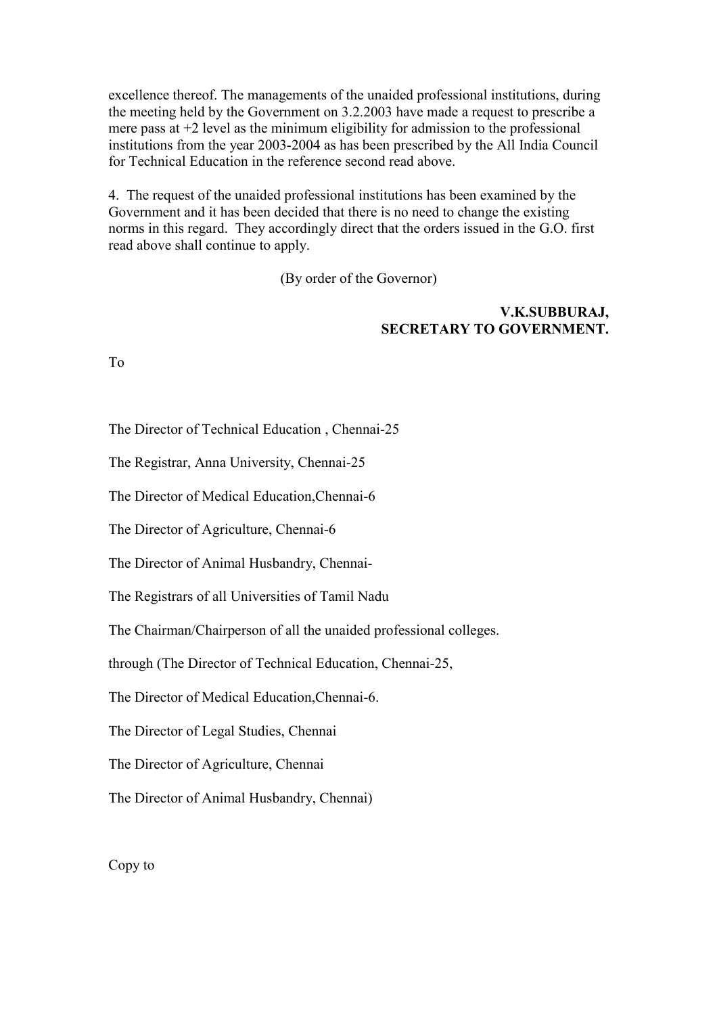excellence thereof. The managements of the unaided professional institutions, during the meeting held by the Government on 3.2.2003 have made a request to prescribe a mere pass at +2 level as the minimum eligibility for admission to the professional institutions from the year 2003-2004 as has been prescribed by the All India Council for Technical Education in the reference second read above.

4. The request of the unaided professional institutions has been examined by the Government and it has been decided that there is no need to change the existing norms in this regard. They accordingly direct that the orders issued in the G.O. first read above shall continue to apply.

(By order of the Governor)

# **V.K.SUBBURAJ, SECRETARY TO GOVERNMENT.**

To

The Director of Technical Education , Chennai-25

The Registrar, Anna University, Chennai-25

The Director of Medical Education,Chennai-6

The Director of Agriculture, Chennai-6

The Director of Animal Husbandry, Chennai-

The Registrars of all Universities of Tamil Nadu

The Chairman/Chairperson of all the unaided professional colleges.

through (The Director of Technical Education, Chennai-25,

The Director of Medical Education,Chennai-6.

The Director of Legal Studies, Chennai

The Director of Agriculture, Chennai

The Director of Animal Husbandry, Chennai)

Copy to